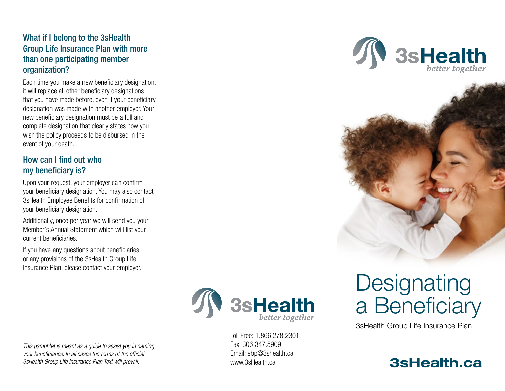## What if I belong to the 3sHealth Group Life Insurance Plan with more than one participating member organization?

Each time you make a new beneficiary designation, it will replace all other beneficiary designations that you have made before, even if your beneficiary designation was made with another employer. Your new beneficiary designation must be a full and complete designation that clearly states how you wish the policy proceeds to be disbursed in the event of your death.

## How can I find out who my beneficiary is?

Upon your request, your employer can confirm your beneficiary designation. You may also contact 3sHealth Employee Benefits for confirmation of your beneficiary designation.

Additionally, once per year we will send you your Member's Annual Statement which will list your current beneficiaries.

If you have any questions about beneficiaries or any provisions of the 3sHealth Group Life Insurance Plan, please contact your employer.

3sHealth

Toll Free: 1.866.278.2301 Fax: 306.347.5909 Email: ebp@3shealth.ca www.3sHealth.ca





# **Designating** a Beneficiary

3sHealth Group Life Insurance Plan



This pamphlet is meant as a guide to assist you in naming your beneficiaries. In all cases the terms of the official 3sHealth Group Life Insurance Plan Text will prevail.